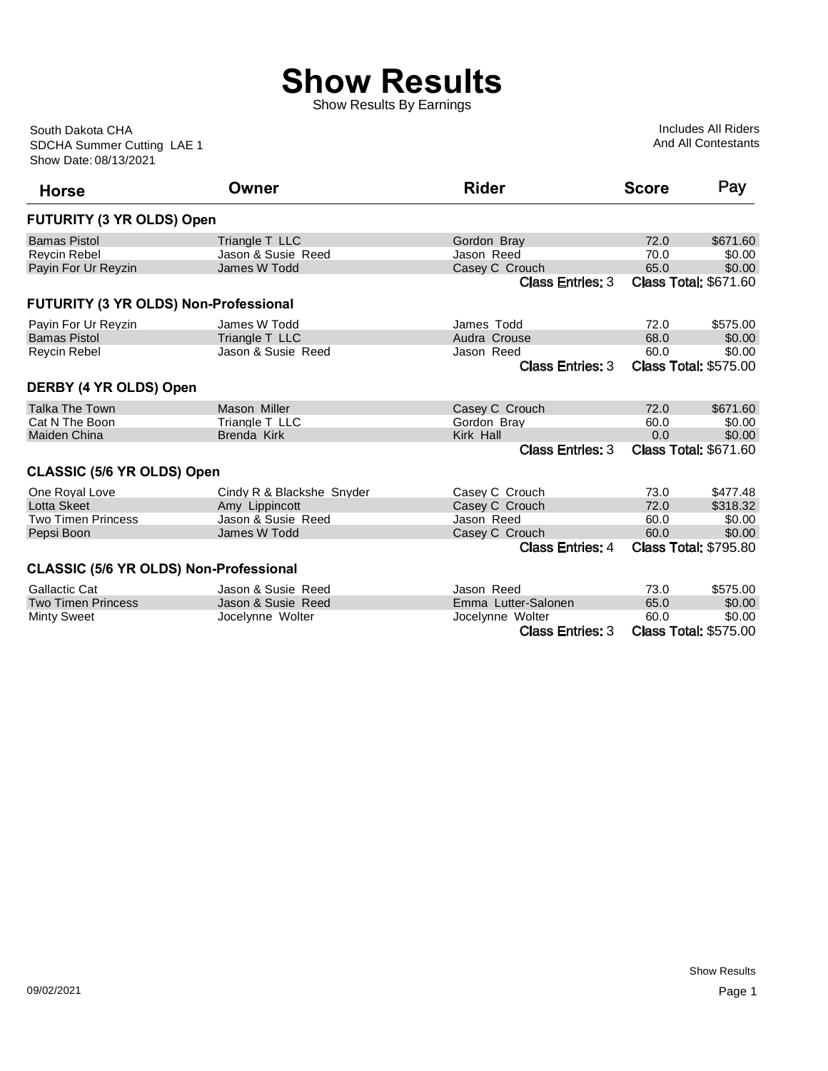## **Show Results**

Show Results By Earnings

Show Date: 08/13/2021 SDCHA Summer Cutting LAE 1 South Dakota CHA

Includes All Riders And All Contestants

| <b>Horse</b>                                  | Owner                     | <b>Rider</b>            | <b>Score</b> | Pay                          |
|-----------------------------------------------|---------------------------|-------------------------|--------------|------------------------------|
| <b>FUTURITY (3 YR OLDS) Open</b>              |                           |                         |              |                              |
| <b>Bamas Pistol</b>                           | Triangle T LLC            | Gordon Bray             | 72.0         | \$671.60                     |
| <b>Revcin Rebel</b>                           | Jason & Susie Reed        | Jason Reed              | 70.0         | \$0.00                       |
| Payin For Ur Reyzin                           | James W Todd              | Casey C Crouch          | 65.0         | \$0.00                       |
|                                               |                           | <b>Class Entries: 3</b> |              | <b>Class Total: \$671.60</b> |
| FUTURITY (3 YR OLDS) Non-Professional         |                           |                         |              |                              |
| Payin For Ur Reyzin                           | James W Todd              | James Todd              | 72.0         | \$575.00                     |
| <b>Bamas Pistol</b>                           | Triangle T LLC            | Audra Crouse            | 68.0         | \$0.00                       |
| <b>Reycin Rebel</b>                           | Jason & Susie Reed        | Jason Reed              | 60.0         | \$0.00                       |
|                                               |                           | <b>Class Entries: 3</b> |              | <b>Class Total: \$575.00</b> |
| DERBY (4 YR OLDS) Open                        |                           |                         |              |                              |
| <b>Talka The Town</b>                         | Mason Miller              | Casey C Crouch          | 72.0         | \$671.60                     |
| Cat N The Boon                                | Triangle T LLC            | Gordon Bray             | 60.0         | \$0.00                       |
| <b>Maiden China</b>                           | <b>Brenda Kirk</b>        | Kirk Hall               | 0.0          | \$0.00                       |
|                                               |                           | <b>Class Entries: 3</b> |              | <b>Class Total: \$671.60</b> |
| <b>CLASSIC (5/6 YR OLDS) Open</b>             |                           |                         |              |                              |
| One Royal Love                                | Cindy R & Blackshe Snyder | Casey C Crouch          | 73.0         | \$477.48                     |
| Lotta Skeet                                   | Amy Lippincott            | Casey C Crouch          | 72.0         | \$318.32                     |
| <b>Two Timen Princess</b>                     | Jason & Susie, Reed       | Jason Reed              | 60.0         | \$0.00                       |
| Pepsi Boon                                    | James W Todd              | Casey C Crouch          | 60.0         | \$0.00                       |
|                                               |                           | <b>Class Entries: 4</b> |              | <b>Class Total: \$795.80</b> |
| <b>CLASSIC (5/6 YR OLDS) Non-Professional</b> |                           |                         |              |                              |
| Gallactic Cat                                 | Jason & Susie Reed        | Jason Reed              | 73.0         | \$575.00                     |
| <b>Two Timen Princess</b>                     | Jason & Susie Reed        | Emma Lutter-Salonen     | 65.0         | \$0.00                       |
| <b>Minty Sweet</b>                            | Jocelynne Wolter          | Jocelynne Wolter        | 60.0         | \$0.00                       |

Class Entries: 3 Class Total: \$575.00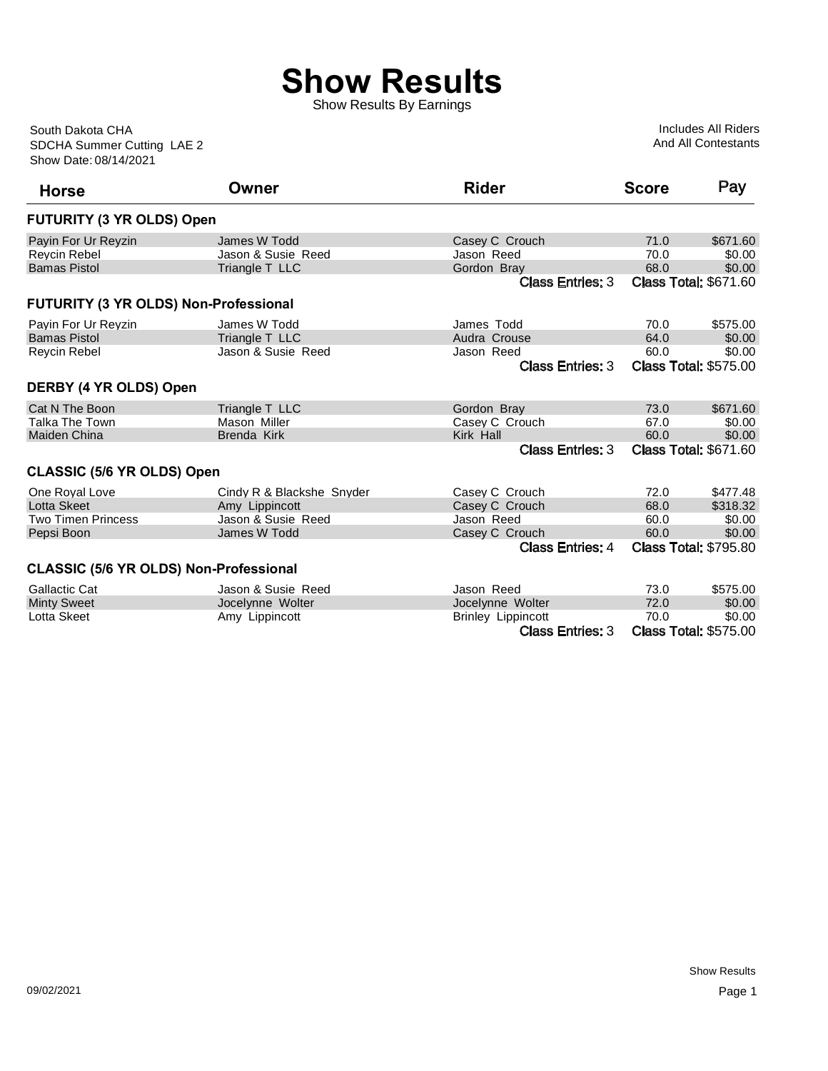## **Show Results**

Show Results By Earnings

Show Date: 08/14/2021 SDCHA Summer Cutting LAE 2 South Dakota CHA

Includes All Riders And All Contestants

| <b>Horse</b>                                  | Owner                     | <b>Rider</b>              | <b>Score</b> | Pay                          |
|-----------------------------------------------|---------------------------|---------------------------|--------------|------------------------------|
| <b>FUTURITY (3 YR OLDS) Open</b>              |                           |                           |              |                              |
| Payin For Ur Reyzin                           | James W Todd              | Casey C Crouch            | 71.0         | \$671.60                     |
| <b>Revcin Rebel</b>                           | Jason & Susie Reed        | Jason Reed                | 70.0         | \$0.00                       |
| <b>Bamas Pistol</b>                           | Triangle T LLC            | Gordon Bray               | 68.0         | \$0.00                       |
|                                               |                           | <b>Class Entries: 3</b>   |              | <b>Class Total: \$671.60</b> |
| FUTURITY (3 YR OLDS) Non-Professional         |                           |                           |              |                              |
| Payin For Ur Reyzin                           | James W Todd              | James Todd                | 70.0         | \$575.00                     |
| <b>Bamas Pistol</b>                           | Triangle T LLC            | Audra Crouse              | 64.0         | \$0.00                       |
| Reycin Rebel                                  | Jason & Susie Reed        | Jason Reed                | 60.0         | \$0.00                       |
|                                               |                           | <b>Class Entries: 3</b>   |              | <b>Class Total: \$575.00</b> |
| DERBY (4 YR OLDS) Open                        |                           |                           |              |                              |
| Cat N The Boon                                | Triangle T LLC            | Gordon Bray               | 73.0         | \$671.60                     |
| Talka The Town                                | Mason Miller              | Casey C Crouch            | 67.0         | \$0.00                       |
| Maiden China                                  | <b>Brenda Kirk</b>        | Kirk Hall                 | 60.0         | \$0.00                       |
|                                               |                           | <b>Class Entries: 3</b>   |              | <b>Class Total: \$671.60</b> |
| <b>CLASSIC (5/6 YR OLDS) Open</b>             |                           |                           |              |                              |
| One Royal Love                                | Cindy R & Blackshe Snyder | Casey C Crouch            | 72.0         | \$477.48                     |
| <b>Lotta Skeet</b>                            | Amy Lippincott            | Casey C Crouch            | 68.0         | \$318.32                     |
| <b>Two Timen Princess</b>                     | Jason & Susie Reed        | Jason Reed                | 60.0         | \$0.00                       |
| Pepsi Boon                                    | James W Todd              | Casey C Crouch            | 60.0         | \$0.00                       |
|                                               |                           | <b>Class Entries: 4</b>   |              | <b>Class Total: \$795.80</b> |
| <b>CLASSIC (5/6 YR OLDS) Non-Professional</b> |                           |                           |              |                              |
| <b>Gallactic Cat</b>                          | Jason & Susie Reed        | Jason Reed                | 73.0         | \$575.00                     |
| <b>Minty Sweet</b>                            | Jocelynne Wolter          | Jocelynne Wolter          | 72.0         | \$0.00                       |
| Lotta Skeet                                   | Amy Lippincott            | <b>Brinley Lippincott</b> | 70.0         | \$0.00                       |
|                                               |                           | <b>Class Entries: 3</b>   |              | <b>Class Total: \$575.00</b> |

**Class Total: \$575.00**